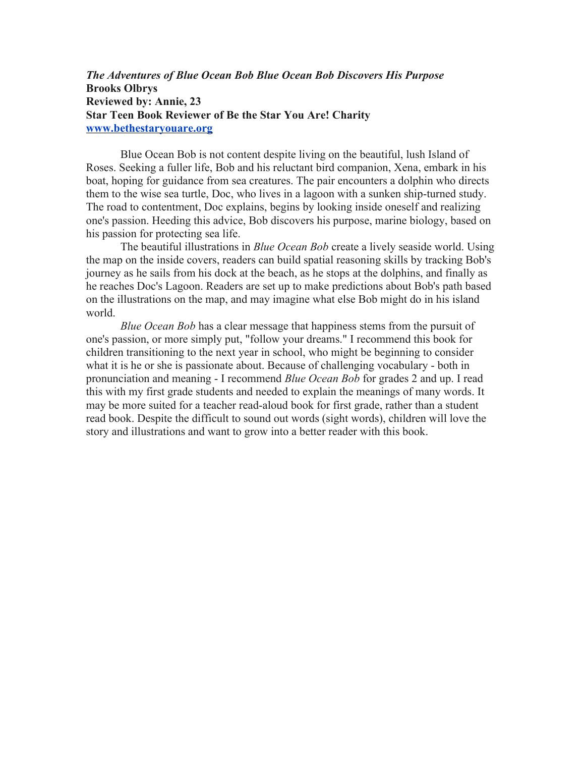*The Adventures of Blue Ocean Bob Blue Ocean Bob Discovers His Purpose* **Brooks Olbrys Reviewed by: Annie, 23 Star Teen Book Reviewer of Be the Star You Are! Charity [www.bethestaryouare.org](http://www.bethestaryouare.org/)**

Blue Ocean Bob is not content despite living on the beautiful, lush Island of Roses. Seeking a fuller life, Bob and his reluctant bird companion, Xena, embark in his boat, hoping for guidance from sea creatures. The pair encounters a dolphin who directs them to the wise sea turtle, Doc, who lives in a lagoon with a sunken ship-turned study. The road to contentment, Doc explains, begins by looking inside oneself and realizing one's passion. Heeding this advice, Bob discovers his purpose, marine biology, based on his passion for protecting sea life.

The beautiful illustrations in *Blue Ocean Bob* create a lively seaside world. Using the map on the inside covers, readers can build spatial reasoning skills by tracking Bob's journey as he sails from his dock at the beach, as he stops at the dolphins, and finally as he reaches Doc's Lagoon. Readers are set up to make predictions about Bob's path based on the illustrations on the map, and may imagine what else Bob might do in his island world.

*Blue Ocean Bob* has a clear message that happiness stems from the pursuit of one's passion, or more simply put, "follow your dreams." I recommend this book for children transitioning to the next year in school, who might be beginning to consider what it is he or she is passionate about. Because of challenging vocabulary - both in pronunciation and meaning - I recommend *Blue Ocean Bob* for grades 2 and up. I read this with my first grade students and needed to explain the meanings of many words. It may be more suited for a teacher read-aloud book for first grade, rather than a student read book. Despite the difficult to sound out words (sight words), children will love the story and illustrations and want to grow into a better reader with this book.